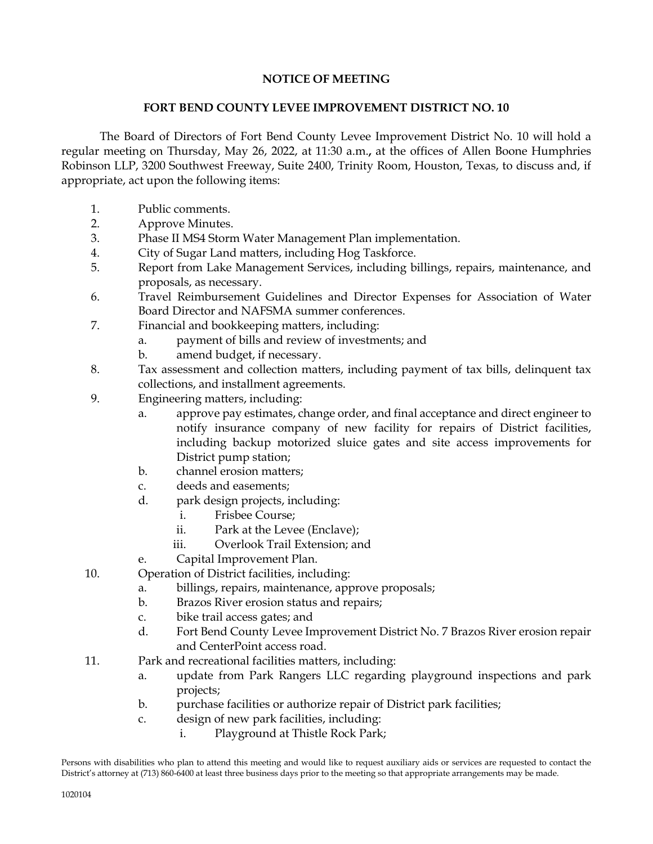## **NOTICE OF MEETING**

## **FORT BEND COUNTY LEVEE IMPROVEMENT DISTRICT NO. 10**

The Board of Directors of Fort Bend County Levee Improvement District No. 10 will hold a regular meeting on Thursday, May 26, 2022, at 11:30 a.m.**,** at the offices of Allen Boone Humphries Robinson LLP, 3200 Southwest Freeway, Suite 2400, Trinity Room, Houston, Texas, to discuss and, if appropriate, act upon the following items:

- 1. Public comments.
- 2. Approve Minutes.
- 3. Phase II MS4 Storm Water Management Plan implementation.
- 4. City of Sugar Land matters, including Hog Taskforce.
- 5. Report from Lake Management Services, including billings, repairs, maintenance, and proposals, as necessary.
- 6. Travel Reimbursement Guidelines and Director Expenses for Association of Water Board Director and NAFSMA summer conferences.
- 7. Financial and bookkeeping matters, including:
	- a. payment of bills and review of investments; and
	- b. amend budget, if necessary.
- 8. Tax assessment and collection matters, including payment of tax bills, delinquent tax collections, and installment agreements.
- 9. Engineering matters, including:
	- a. approve pay estimates, change order, and final acceptance and direct engineer to notify insurance company of new facility for repairs of District facilities, including backup motorized sluice gates and site access improvements for District pump station;
	- b. channel erosion matters;
	- c. deeds and easements;
	- d. park design projects, including:
		- i. Frisbee Course;
		- ii. Park at the Levee (Enclave);
		- iii. Overlook Trail Extension; and
	- e. Capital Improvement Plan.
- 10. Operation of District facilities, including:
	- a. billings, repairs, maintenance, approve proposals;
	- b. Brazos River erosion status and repairs;
	- c. bike trail access gates; and
	- d. Fort Bend County Levee Improvement District No. 7 Brazos River erosion repair and CenterPoint access road.
- 11. Park and recreational facilities matters, including:
	- a. update from Park Rangers LLC regarding playground inspections and park projects;
	- b. purchase facilities or authorize repair of District park facilities;
	- c. design of new park facilities, including:
		- i. Playground at Thistle Rock Park;

Persons with disabilities who plan to attend this meeting and would like to request auxiliary aids or services are requested to contact the District's attorney at (713) 860-6400 at least three business days prior to the meeting so that appropriate arrangements may be made.